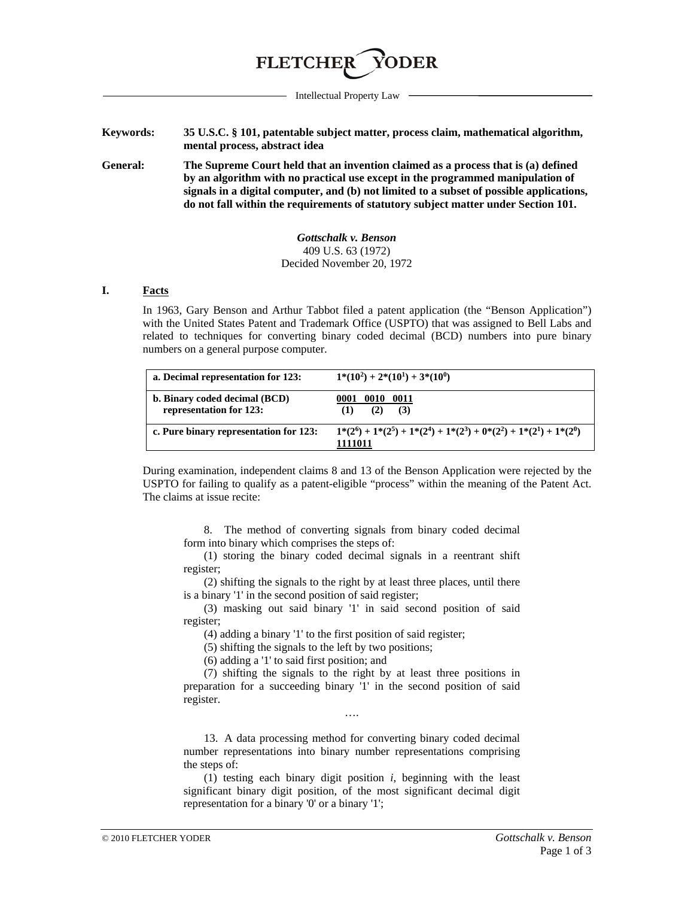

Intellectual Property Law

**Keywords: 35 U.S.C. § 101, patentable subject matter, process claim, mathematical algorithm, mental process, abstract idea**

<span id="page-0-0"></span>**General: The Supreme Court held that an invention claimed as a process that is (a) defined by an algorithm with no practical use except in the programmed manipulation of signals in a digital computer, and (b) not limited to a subset of possible applications, do not fall within the requirements of statutory subject matter under Section 101.**

> *Gottschalk v. Benson* 409 U.S. 63 (1972) Decided November 20, 1972

## **I. Facts**

In 1963, Gary Benson and Arthur Tabbot filed a patent application (the "Benson Application") with the United States Patent and Trademark Office (USPTO) that was assigned to Bell Labs and related to techniques for converting binary coded decimal (BCD) numbers into pure binary numbers on a general purpose computer.

| a. Decimal representation for 123:                       | $1*(10^2) + 2*(10^1) + 3*(10^0)$                                                 |
|----------------------------------------------------------|----------------------------------------------------------------------------------|
| b. Binary coded decimal (BCD)<br>representation for 123: | 0010<br>0011<br>0001<br>(2)<br>(3)                                               |
| c. Pure binary representation for 123:                   | $1*(2^6) + 1*(2^5) + 1*(2^4) + 1*(2^3) + 0*(2^2) + 1*(2^1) + 1*(2^0)$<br>1111011 |

During examination, independent claims 8 and 13 of the Benson Application were rejected by the USPTO for failing to qualify as a patent-eligible "process" within the meaning of the Patent Act. The claims at issue recite:

8. The method of converting signals from binary coded decimal form into binary which comprises the steps of:

(1) storing the binary coded decimal signals in a reentrant shift register;

(2) shifting the signals to the right by at least three places, until there is a binary '1' in the second position of said register;

(3) masking out said binary '1' in said second position of said register;

(4) adding a binary '1' to the first position of said register;

(5) shifting the signals to the left by two positions;

(6) adding a '1' to said first position; and

(7) shifting the signals to the right by at least three positions in preparation for a succeeding binary '1' in the second position of said register.

….

13. A data processing method for converting binary coded decimal number representations into binary number representations comprising the steps of:

(1) testing each binary digit position *i*, beginning with the least significant binary digit position, of the most significant decimal digit representation for a binary '0' or a binary '1';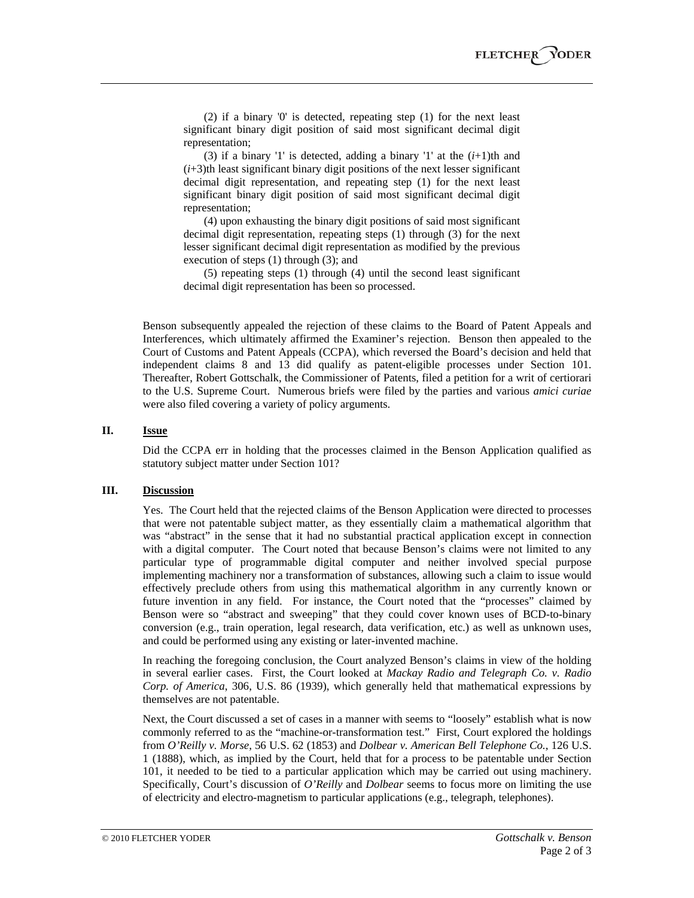(2) if a binary '0' is detected, repeating step (1) for the next least significant binary digit position of said most significant decimal digit representation;

(3) if a binary '1' is detected, adding a binary '1' at the  $(i+1)$ <sup>th</sup> and  $(i+3)$ th least significant binary digit positions of the next lesser significant decimal digit representation, and repeating step (1) for the next least significant binary digit position of said most significant decimal digit representation;

(4) upon exhausting the binary digit positions of said most significant decimal digit representation, repeating steps (1) through (3) for the next lesser significant decimal digit representation as modified by the previous execution of steps (1) through (3); and

(5) repeating steps (1) through (4) until the second least significant decimal digit representation has been so processed.

Benson subsequently appealed the rejection of these claims to the Board of Patent Appeals and Interferences, which ultimately affirmed the Examiner's rejection. Benson then appealed to the Court of Customs and Patent Appeals (CCPA), which reversed the Board's decision and held that independent claims 8 and 13 did qualify as patent-eligible processes under Section 101. Thereafter, Robert Gottschalk, the Commissioner of Patents, filed a petition for a writ of certiorari to the U.S. Supreme Court. Numerous briefs were filed by the parties and various *amici curiae* were also filed covering a variety of policy arguments.

## **II. Issue**

Did the CCPA err in holding that the processes claimed in the Benson Application qualified as statutory subject matter under Section 101?

## **III. Discussion**

Yes. The Court held that the rejected claims of the Benson Application were directed to processes that were not patentable subject matter, as they essentially claim a mathematical algorithm that was "abstract" in the sense that it had no substantial practical application except in connection with a digital computer. The Court noted that because Benson's claims were not limited to any particular type of programmable digital computer and neither involved special purpose implementing machinery nor a transformation of substances, allowing such a claim to issue would effectively preclude others from using this mathematical algorithm in any currently known or future invention in any field. For instance, the Court noted that the "processes" claimed by Benson were so "abstract and sweeping" that they could cover known uses of BCD-to-binary conversion (e.g., train operation, legal research, data verification, etc.) as well as unknown uses, and could be performed using any existing or later-invented machine.

In reaching the foregoing conclusion, the Court analyzed Benson's claims in view of the holding in several earlier cases. First, the Court looked at *Mackay Radio and Telegraph Co. v. Radio Corp. of America*, 306, U.S. 86 (1939), which generally held that mathematical expressions by themselves are not patentable.

Next, the Court discussed a set of cases in a manner with seems to "loosely" establish what is now commonly referred to as the "machine-or-transformation test." First, Court explored the holdings from *O'Reilly v. Morse*, 56 U.S. 62 (1853) and *Dolbear v. American Bell Telephone Co.*, 126 U.S. 1 (1888), which, as implied by the Court, held that for a process to be patentable under Section 101, it needed to be tied to a particular application which may be carried out using machinery. Specifically, Court's discussion of *O'Reilly* and *Dolbear* seems to focus more on limiting the use of electricity and electro-magnetism to particular applications (e.g., telegraph, telephones).